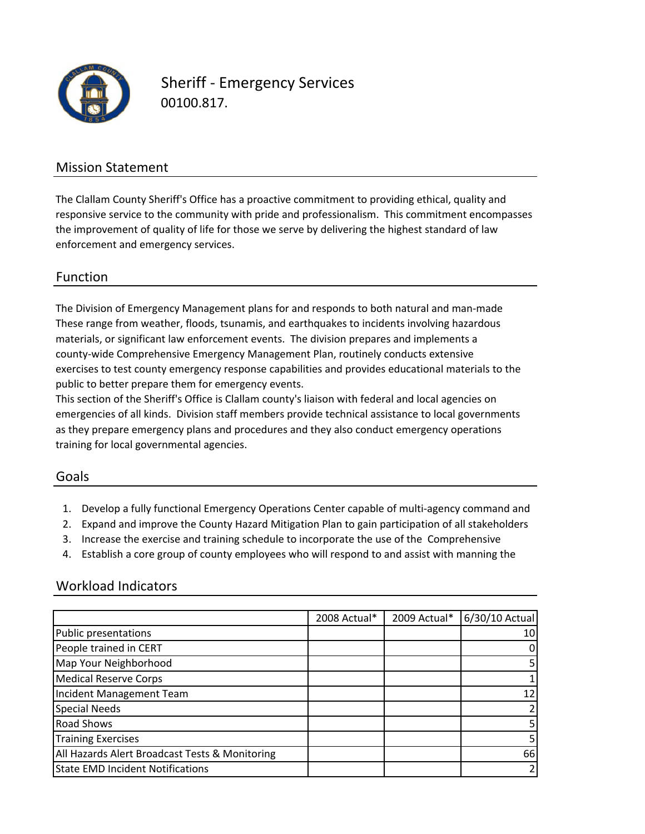

Sheriff ‐ Emergency Services 00100.817.

### Mission Statement

The Clallam County Sheriff's Office has a proactive commitment to providing ethical, quality and responsive service to the community with pride and professionalism. This commitment encompasses the improvement of quality of life for those we serve by delivering the highest standard of law enforcement and emergency services.

### Function

public to better prepare them for emergency events. exercises to test county emergency response capabilities and provides educational materials to the The Division of Emergency Management plans for and responds to both natural and man‐made These range from weather, floods, tsunamis, and earthquakes to incidents involving hazardous materials, or significant law enforcement events. The division prepares and implements a county-wide Comprehensive Emergency Management Plan, routinely conducts extensive

This section of the Sheriff's Office is Clallam county's liaison with federal and local agencies on emergencies of all kinds. Division staff members provide technical assistance to local governments as they prepare emergency plans and procedures and they also conduct emergency operations training for local governmental agencies.

### Goals

- 1. Develop a fully functional Emergency Operations Center capable of multi‐agency command and
- 2. Expand and improve the County Hazard Mitigation Plan to gain participation of all stakeholders
- 3. Increase the exercise and training schedule to incorporate the use of the Comprehensive
- 4. Establish a core group of county employees who will respond to and assist with manning the

### Workload Indicators

|                                                | 2008 Actual* | 2009 Actual* | 6/30/10 Actual |
|------------------------------------------------|--------------|--------------|----------------|
| <b>Public presentations</b>                    |              |              | 10             |
| People trained in CERT                         |              |              |                |
| Map Your Neighborhood                          |              |              |                |
| <b>Medical Reserve Corps</b>                   |              |              |                |
| Incident Management Team                       |              |              |                |
| <b>Special Needs</b>                           |              |              |                |
| <b>Road Shows</b>                              |              |              |                |
| <b>Training Exercises</b>                      |              |              |                |
| All Hazards Alert Broadcast Tests & Monitoring |              |              | 66             |
| <b>State EMD Incident Notifications</b>        |              |              |                |